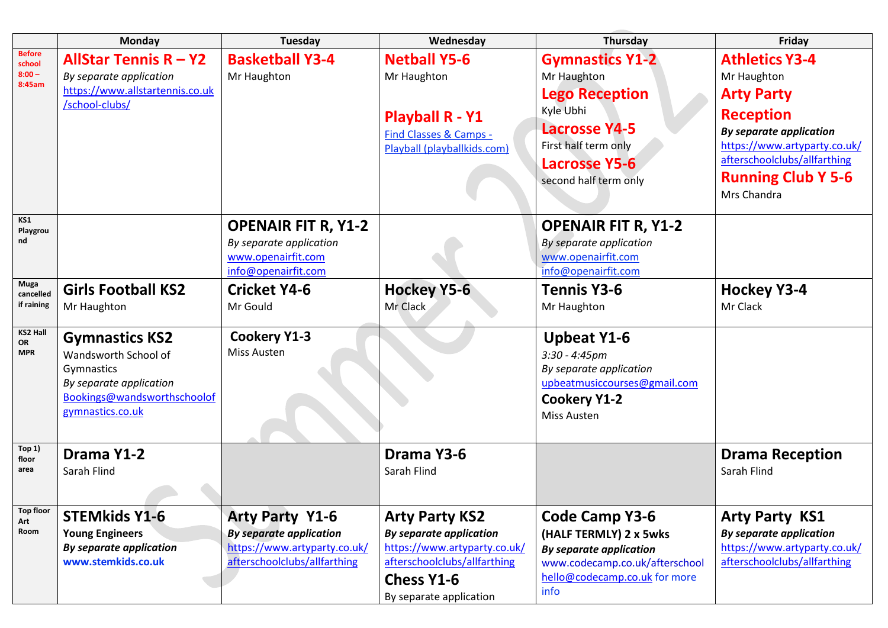|                                               | <b>Monday</b>                                                                                                                             | <b>Tuesday</b>                                                                                                           | Wednesday                                                                                                                                                               | Thursday                                                                                                                                                                     | Friday                                                                                                                                                                                                                      |
|-----------------------------------------------|-------------------------------------------------------------------------------------------------------------------------------------------|--------------------------------------------------------------------------------------------------------------------------|-------------------------------------------------------------------------------------------------------------------------------------------------------------------------|------------------------------------------------------------------------------------------------------------------------------------------------------------------------------|-----------------------------------------------------------------------------------------------------------------------------------------------------------------------------------------------------------------------------|
| <b>Before</b><br>school<br>$8:00 -$<br>8:45am | <b>AllStar Tennis <math>R - Y2</math></b><br>By separate application<br>https://www.allstartennis.co.uk<br>/school-clubs/                 | <b>Basketball Y3-4</b><br>Mr Haughton                                                                                    | <b>Netball Y5-6</b><br>Mr Haughton<br><b>Playball R - Y1</b><br>Find Classes & Camps -<br>Playball (playballkids.com)                                                   | <b>Gymnastics Y1-2</b><br>Mr Haughton<br><b>Lego Reception</b><br>Kyle Ubhi<br><b>Lacrosse Y4-5</b><br>First half term only<br><b>Lacrosse Y5-6</b><br>second half term only | <b>Athletics Y3-4</b><br>Mr Haughton<br><b>Arty Party</b><br><b>Reception</b><br><b>By separate application</b><br>https://www.artyparty.co.uk/<br>afterschoolclubs/allfarthing<br><b>Running Club Y 5-6</b><br>Mrs Chandra |
| KS1<br>Playgrou<br>nd                         |                                                                                                                                           | <b>OPENAIR FIT R, Y1-2</b><br>By separate application<br>www.openairfit.com<br>info@openairfit.com                       |                                                                                                                                                                         | <b>OPENAIR FIT R, Y1-2</b><br>By separate application<br>www.openairfit.com<br>info@openairfit.com                                                                           |                                                                                                                                                                                                                             |
| Muga<br>cancelled<br>if raining               | <b>Girls Football KS2</b><br>Mr Haughton                                                                                                  | <b>Cricket Y4-6</b><br>Mr Gould                                                                                          | <b>Hockey Y5-6</b><br>Mr Clack                                                                                                                                          | <b>Tennis Y3-6</b><br>Mr Haughton                                                                                                                                            | <b>Hockey Y3-4</b><br>Mr Clack                                                                                                                                                                                              |
| <b>KS2 Hall</b><br>OR<br><b>MPR</b>           | <b>Gymnastics KS2</b><br>Wandsworth School of<br>Gymnastics<br>By separate application<br>Bookings@wandsworthschoolof<br>gymnastics.co.uk | <b>Cookery Y1-3</b><br>Miss Austen                                                                                       |                                                                                                                                                                         | <b>Upbeat Y1-6</b><br>$3:30 - 4:45pm$<br>By separate application<br>upbeatmusiccourses@gmail.com<br><b>Cookery Y1-2</b><br>Miss Austen                                       |                                                                                                                                                                                                                             |
| Top 1)<br>floor<br>area                       | Drama Y1-2<br>Sarah Flind                                                                                                                 |                                                                                                                          | Drama Y3-6<br>Sarah Flind                                                                                                                                               |                                                                                                                                                                              | <b>Drama Reception</b><br>Sarah Flind                                                                                                                                                                                       |
| <b>Top floor</b><br>Art<br>Room               | <b>STEMkids Y1-6</b><br><b>Young Engineers</b><br><b>By separate application</b><br>www.stemkids.co.uk                                    | <b>Arty Party Y1-6</b><br><b>By separate application</b><br>https://www.artyparty.co.uk/<br>afterschoolclubs/allfarthing | <b>Arty Party KS2</b><br><b>By separate application</b><br>https://www.artyparty.co.uk/<br>afterschoolclubs/allfarthing<br><b>Chess Y1-6</b><br>By separate application | <b>Code Camp Y3-6</b><br>(HALF TERMLY) 2 x 5wks<br><b>By separate application</b><br>www.codecamp.co.uk/afterschool<br>hello@codecamp.co.uk for more<br>info                 | <b>Arty Party KS1</b><br><b>By separate application</b><br>https://www.artyparty.co.uk/<br>afterschoolclubs/allfarthing                                                                                                     |